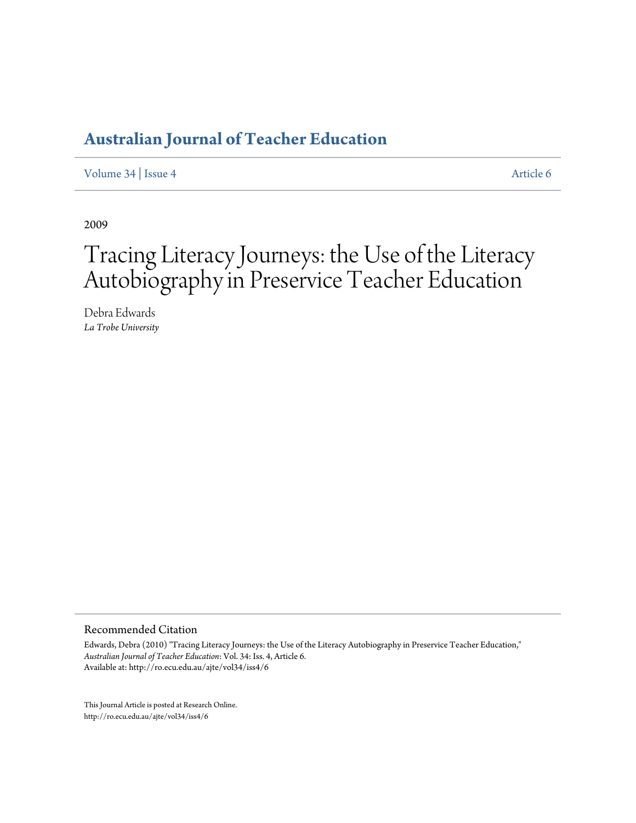[Volume 34](http://ro.ecu.edu.au/ajte/vol34) | [Issue 4](http://ro.ecu.edu.au/ajte/vol34/iss4) [Article 6](http://ro.ecu.edu.au/ajte/vol34/iss4/6)

2009

# Tracing Literacy Journeys: the Use of the Literacy Autobiography in Preservice Teacher Education

Debra Edwards *La Trobe University*

#### Recommended Citation

Edwards, Debra (2010) "Tracing Literacy Journeys: the Use of the Literacy Autobiography in Preservice Teacher Education," *Australian Journal of Teacher Education*: Vol. 34: Iss. 4, Article 6. Available at: http://ro.ecu.edu.au/ajte/vol34/iss4/6

This Journal Article is posted at Research Online. http://ro.ecu.edu.au/ajte/vol34/iss4/6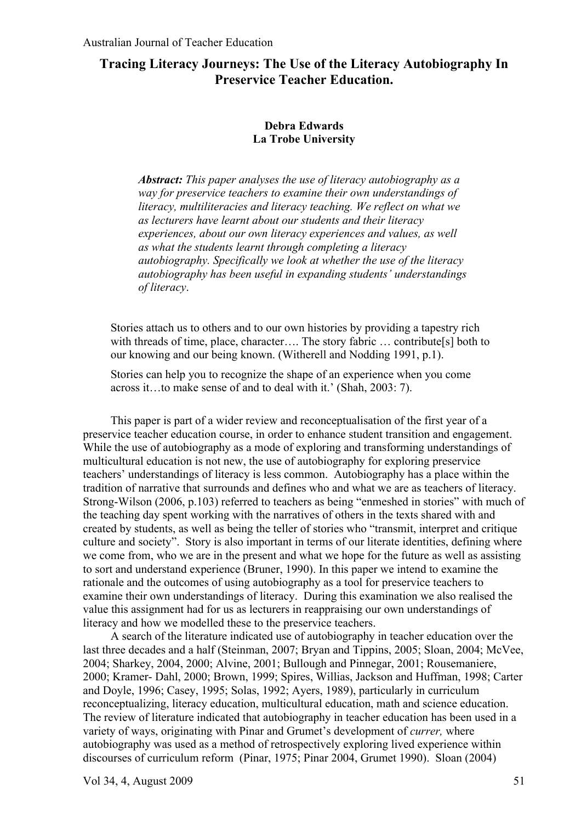## **Tracing Literacy Journeys: The Use of the Literacy Autobiography In Preservice Teacher Education.**

### **Debra Edwards La Trobe University**

*Abstract: This paper analyses the use of literacy autobiography as a way for preservice teachers to examine their own understandings of literacy, multiliteracies and literacy teaching. We reflect on what we as lecturers have learnt about our students and their literacy experiences, about our own literacy experiences and values, as well as what the students learnt through completing a literacy autobiography. Specifically we look at whether the use of the literacy autobiography has been useful in expanding students' understandings of literacy*.

Stories attach us to others and to our own histories by providing a tapestry rich with threads of time, place, character…. The story fabric ... contribute[s] both to our knowing and our being known. (Witherell and Nodding 1991, p.1).

Stories can help you to recognize the shape of an experience when you come across it…to make sense of and to deal with it.' (Shah, 2003: 7).

This paper is part of a wider review and reconceptualisation of the first year of a preservice teacher education course, in order to enhance student transition and engagement. While the use of autobiography as a mode of exploring and transforming understandings of multicultural education is not new, the use of autobiography for exploring preservice teachers' understandings of literacy is less common. Autobiography has a place within the tradition of narrative that surrounds and defines who and what we are as teachers of literacy. Strong-Wilson (2006, p.103) referred to teachers as being "enmeshed in stories" with much of the teaching day spent working with the narratives of others in the texts shared with and created by students, as well as being the teller of stories who "transmit, interpret and critique culture and society". Story is also important in terms of our literate identities, defining where we come from, who we are in the present and what we hope for the future as well as assisting to sort and understand experience (Bruner, 1990). In this paper we intend to examine the rationale and the outcomes of using autobiography as a tool for preservice teachers to examine their own understandings of literacy. During this examination we also realised the value this assignment had for us as lecturers in reappraising our own understandings of literacy and how we modelled these to the preservice teachers.

A search of the literature indicated use of autobiography in teacher education over the last three decades and a half (Steinman, 2007; Bryan and Tippins, 2005; Sloan, 2004; McVee, 2004; Sharkey, 2004, 2000; Alvine, 2001; Bullough and Pinnegar, 2001; Rousemaniere, 2000; Kramer- Dahl, 2000; Brown, 1999; Spires, Willias, Jackson and Huffman, 1998; Carter and Doyle, 1996; Casey, 1995; Solas, 1992; Ayers, 1989), particularly in curriculum reconceptualizing, literacy education, multicultural education, math and science education. The review of literature indicated that autobiography in teacher education has been used in a variety of ways, originating with Pinar and Grumet's development of *currer,* where autobiography was used as a method of retrospectively exploring lived experience within discourses of curriculum reform (Pinar, 1975; Pinar 2004, Grumet 1990). Sloan (2004)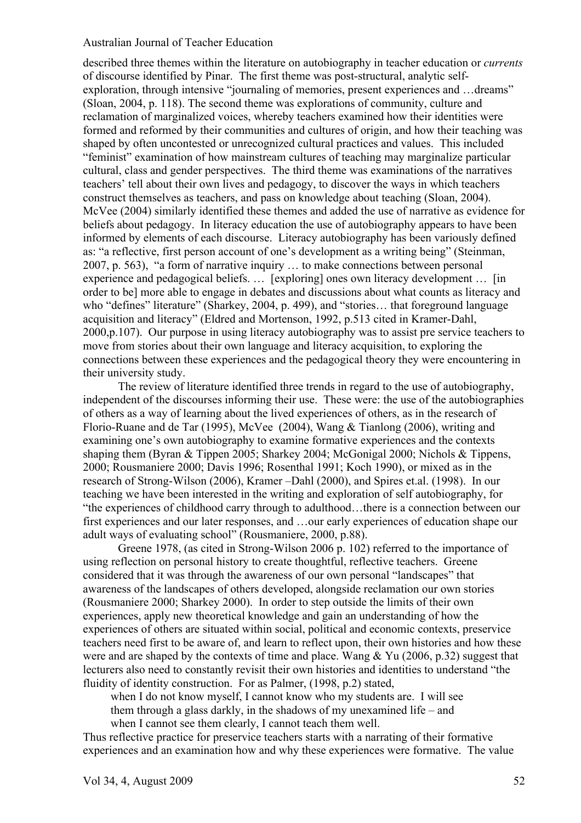described three themes within the literature on autobiography in teacher education or *currents* of discourse identified by Pinar. The first theme was post-structural, analytic selfexploration, through intensive "journaling of memories, present experiences and …dreams" (Sloan, 2004, p. 118). The second theme was explorations of community, culture and reclamation of marginalized voices, whereby teachers examined how their identities were formed and reformed by their communities and cultures of origin, and how their teaching was shaped by often uncontested or unrecognized cultural practices and values. This included "feminist" examination of how mainstream cultures of teaching may marginalize particular cultural, class and gender perspectives. The third theme was examinations of the narratives teachers' tell about their own lives and pedagogy, to discover the ways in which teachers construct themselves as teachers, and pass on knowledge about teaching (Sloan, 2004). McVee (2004) similarly identified these themes and added the use of narrative as evidence for beliefs about pedagogy. In literacy education the use of autobiography appears to have been informed by elements of each discourse. Literacy autobiography has been variously defined as: "a reflective, first person account of one's development as a writing being" (Steinman, 2007, p. 563), "a form of narrative inquiry … to make connections between personal experience and pedagogical beliefs. … [exploring] ones own literacy development … [in order to be] more able to engage in debates and discussions about what counts as literacy and who "defines" literature" (Sharkey, 2004, p. 499), and "stories... that foreground language acquisition and literacy" (Eldred and Mortenson, 1992, p.513 cited in Kramer-Dahl, 2000,p.107). Our purpose in using literacy autobiography was to assist pre service teachers to move from stories about their own language and literacy acquisition, to exploring the connections between these experiences and the pedagogical theory they were encountering in their university study.

The review of literature identified three trends in regard to the use of autobiography, independent of the discourses informing their use. These were: the use of the autobiographies of others as a way of learning about the lived experiences of others, as in the research of Florio-Ruane and de Tar (1995), McVee (2004), Wang & Tianlong (2006), writing and examining one's own autobiography to examine formative experiences and the contexts shaping them (Byran & Tippen 2005; Sharkey 2004; McGonigal 2000; Nichols & Tippens, 2000; Rousmaniere 2000; Davis 1996; Rosenthal 1991; Koch 1990), or mixed as in the research of Strong-Wilson (2006), Kramer –Dahl (2000), and Spires et.al. (1998). In our teaching we have been interested in the writing and exploration of self autobiography, for "the experiences of childhood carry through to adulthood…there is a connection between our first experiences and our later responses, and …our early experiences of education shape our adult ways of evaluating school" (Rousmaniere, 2000, p.88).

Greene 1978, (as cited in Strong-Wilson 2006 p. 102) referred to the importance of using reflection on personal history to create thoughtful, reflective teachers. Greene considered that it was through the awareness of our own personal "landscapes" that awareness of the landscapes of others developed, alongside reclamation our own stories (Rousmaniere 2000; Sharkey 2000). In order to step outside the limits of their own experiences, apply new theoretical knowledge and gain an understanding of how the experiences of others are situated within social, political and economic contexts, preservice teachers need first to be aware of, and learn to reflect upon, their own histories and how these were and are shaped by the contexts of time and place. Wang  $& Yu(2006, p.32)$  suggest that lecturers also need to constantly revisit their own histories and identities to understand "the fluidity of identity construction. For as Palmer, (1998, p.2) stated,

when I do not know myself. I cannot know who my students are. I will see them through a glass darkly, in the shadows of my unexamined life – and when I cannot see them clearly. I cannot teach them well.

Thus reflective practice for preservice teachers starts with a narrating of their formative experiences and an examination how and why these experiences were formative. The value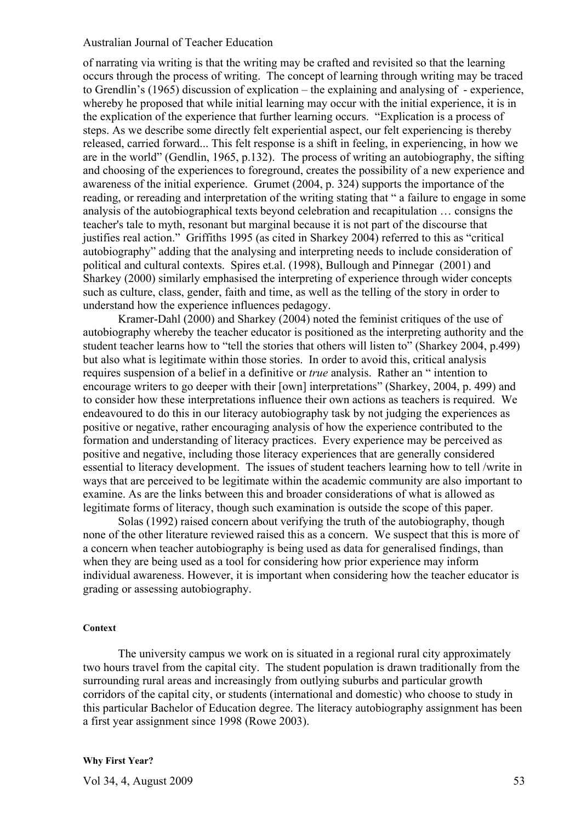of narrating via writing is that the writing may be crafted and revisited so that the learning occurs through the process of writing. The concept of learning through writing may be traced to Grendlin's (1965) discussion of explication – the explaining and analysing of - experience, whereby he proposed that while initial learning may occur with the initial experience, it is in the explication of the experience that further learning occurs. "Explication is a process of steps. As we describe some directly felt experiential aspect, our felt experiencing is thereby released, carried forward... This felt response is a shift in feeling, in experiencing, in how we are in the world" (Gendlin, 1965, p.132). The process of writing an autobiography, the sifting and choosing of the experiences to foreground, creates the possibility of a new experience and awareness of the initial experience. Grumet (2004, p. 324) supports the importance of the reading, or rereading and interpretation of the writing stating that " a failure to engage in some analysis of the autobiographical texts beyond celebration and recapitulation … consigns the teacher's tale to myth, resonant but marginal because it is not part of the discourse that justifies real action." Griffiths 1995 (as cited in Sharkey 2004) referred to this as "critical autobiography" adding that the analysing and interpreting needs to include consideration of political and cultural contexts. Spires et.al. (1998), Bullough and Pinnegar (2001) and Sharkey (2000) similarly emphasised the interpreting of experience through wider concepts such as culture, class, gender, faith and time, as well as the telling of the story in order to understand how the experience influences pedagogy.

Kramer-Dahl (2000) and Sharkey (2004) noted the feminist critiques of the use of autobiography whereby the teacher educator is positioned as the interpreting authority and the student teacher learns how to "tell the stories that others will listen to" (Sharkey 2004, p.499) but also what is legitimate within those stories. In order to avoid this, critical analysis requires suspension of a belief in a definitive or *true* analysis. Rather an " intention to encourage writers to go deeper with their [own] interpretations" (Sharkey, 2004, p. 499) and to consider how these interpretations influence their own actions as teachers is required. We endeavoured to do this in our literacy autobiography task by not judging the experiences as positive or negative, rather encouraging analysis of how the experience contributed to the formation and understanding of literacy practices. Every experience may be perceived as positive and negative, including those literacy experiences that are generally considered essential to literacy development. The issues of student teachers learning how to tell /write in ways that are perceived to be legitimate within the academic community are also important to examine. As are the links between this and broader considerations of what is allowed as legitimate forms of literacy, though such examination is outside the scope of this paper.

Solas (1992) raised concern about verifying the truth of the autobiography, though none of the other literature reviewed raised this as a concern. We suspect that this is more of a concern when teacher autobiography is being used as data for generalised findings, than when they are being used as a tool for considering how prior experience may inform individual awareness. However, it is important when considering how the teacher educator is grading or assessing autobiography.

#### **Context**

The university campus we work on is situated in a regional rural city approximately two hours travel from the capital city. The student population is drawn traditionally from the surrounding rural areas and increasingly from outlying suburbs and particular growth corridors of the capital city, or students (international and domestic) who choose to study in this particular Bachelor of Education degree. The literacy autobiography assignment has been a first year assignment since 1998 (Rowe 2003).

#### **Why First Year?**

 $Vol$  34, 4, August 2009  $53$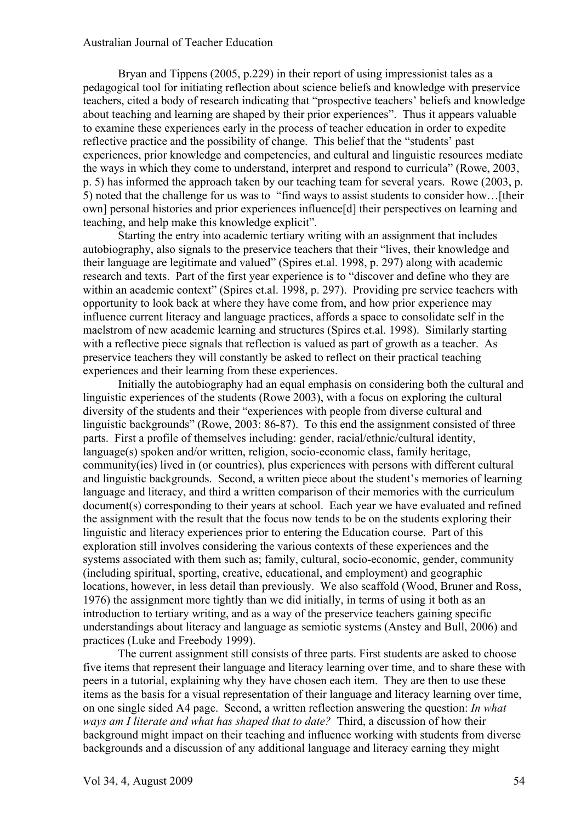Bryan and Tippens (2005, p.229) in their report of using impressionist tales as a pedagogical tool for initiating reflection about science beliefs and knowledge with preservice teachers, cited a body of research indicating that "prospective teachers' beliefs and knowledge about teaching and learning are shaped by their prior experiences". Thus it appears valuable to examine these experiences early in the process of teacher education in order to expedite reflective practice and the possibility of change. This belief that the "students' past experiences, prior knowledge and competencies, and cultural and linguistic resources mediate the ways in which they come to understand, interpret and respond to curricula" (Rowe, 2003, p. 5) has informed the approach taken by our teaching team for several years. Rowe (2003, p. 5) noted that the challenge for us was to "find ways to assist students to consider how…[their own] personal histories and prior experiences influence[d] their perspectives on learning and teaching, and help make this knowledge explicit".

Starting the entry into academic tertiary writing with an assignment that includes autobiography, also signals to the preservice teachers that their "lives, their knowledge and their language are legitimate and valued" (Spires et.al. 1998, p. 297) along with academic research and texts. Part of the first year experience is to "discover and define who they are within an academic context" (Spires et.al. 1998, p. 297). Providing pre service teachers with opportunity to look back at where they have come from, and how prior experience may influence current literacy and language practices, affords a space to consolidate self in the maelstrom of new academic learning and structures (Spires et.al. 1998). Similarly starting with a reflective piece signals that reflection is valued as part of growth as a teacher. As preservice teachers they will constantly be asked to reflect on their practical teaching experiences and their learning from these experiences.

Initially the autobiography had an equal emphasis on considering both the cultural and linguistic experiences of the students (Rowe 2003), with a focus on exploring the cultural diversity of the students and their "experiences with people from diverse cultural and linguistic backgrounds" (Rowe, 2003: 86-87). To this end the assignment consisted of three parts. First a profile of themselves including: gender, racial/ethnic/cultural identity, language(s) spoken and/or written, religion, socio-economic class, family heritage, community(ies) lived in (or countries), plus experiences with persons with different cultural and linguistic backgrounds. Second, a written piece about the student's memories of learning language and literacy, and third a written comparison of their memories with the curriculum document(s) corresponding to their years at school. Each year we have evaluated and refined the assignment with the result that the focus now tends to be on the students exploring their linguistic and literacy experiences prior to entering the Education course. Part of this exploration still involves considering the various contexts of these experiences and the systems associated with them such as; family, cultural, socio-economic, gender, community (including spiritual, sporting, creative, educational, and employment) and geographic locations, however, in less detail than previously. We also scaffold (Wood, Bruner and Ross, 1976) the assignment more tightly than we did initially, in terms of using it both as an introduction to tertiary writing, and as a way of the preservice teachers gaining specific understandings about literacy and language as semiotic systems (Anstey and Bull, 2006) and practices (Luke and Freebody 1999).

The current assignment still consists of three parts. First students are asked to choose five items that represent their language and literacy learning over time, and to share these with peers in a tutorial, explaining why they have chosen each item. They are then to use these items as the basis for a visual representation of their language and literacy learning over time, on one single sided A4 page. Second, a written reflection answering the question: *In what ways am I literate and what has shaped that to date?* Third, a discussion of how their background might impact on their teaching and influence working with students from diverse backgrounds and a discussion of any additional language and literacy earning they might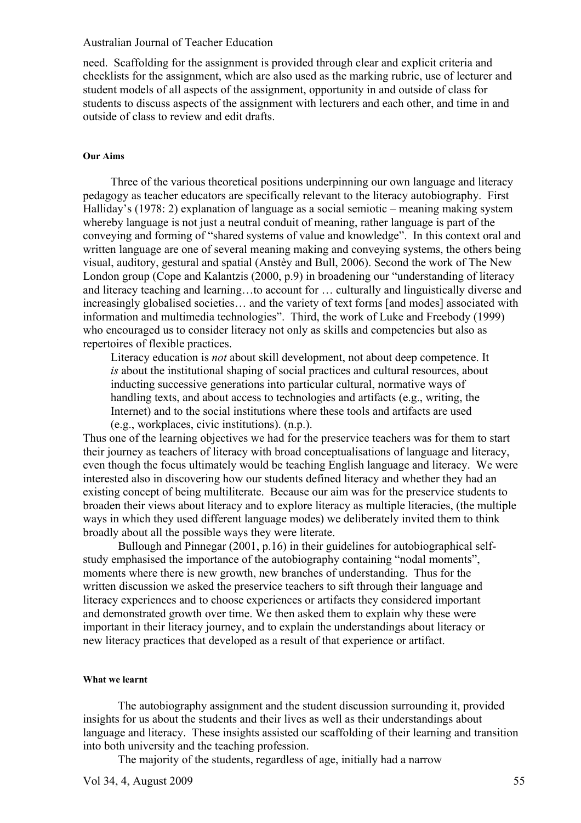need. Scaffolding for the assignment is provided through clear and explicit criteria and checklists for the assignment, which are also used as the marking rubric, use of lecturer and student models of all aspects of the assignment, opportunity in and outside of class for students to discuss aspects of the assignment with lecturers and each other, and time in and outside of class to review and edit drafts.

#### **Our Aims**

Three of the various theoretical positions underpinning our own language and literacy pedagogy as teacher educators are specifically relevant to the literacy autobiography. First Halliday's (1978: 2) explanation of language as a social semiotic – meaning making system whereby language is not just a neutral conduit of meaning, rather language is part of the conveying and forming of "shared systems of value and knowledge". In this context oral and written language are one of several meaning making and conveying systems, the others being visual, auditory, gestural and spatial (Anstèy and Bull, 2006). Second the work of The New London group (Cope and Kalantzis (2000, p.9) in broadening our "understanding of literacy and literacy teaching and learning…to account for … culturally and linguistically diverse and increasingly globalised societies… and the variety of text forms [and modes] associated with information and multimedia technologies". Third, the work of Luke and Freebody (1999) who encouraged us to consider literacy not only as skills and competencies but also as repertoires of flexible practices.

Literacy education is *not* about skill development, not about deep competence. It *is* about the institutional shaping of social practices and cultural resources, about inducting successive generations into particular cultural, normative ways of handling texts, and about access to technologies and artifacts (e.g., writing, the Internet) and to the social institutions where these tools and artifacts are used (e.g., workplaces, civic institutions). (n.p.).

Thus one of the learning objectives we had for the preservice teachers was for them to start their journey as teachers of literacy with broad conceptualisations of language and literacy, even though the focus ultimately would be teaching English language and literacy. We were interested also in discovering how our students defined literacy and whether they had an existing concept of being multiliterate. Because our aim was for the preservice students to broaden their views about literacy and to explore literacy as multiple literacies, (the multiple ways in which they used different language modes) we deliberately invited them to think broadly about all the possible ways they were literate.

Bullough and Pinnegar (2001, p.16) in their guidelines for autobiographical selfstudy emphasised the importance of the autobiography containing "nodal moments", moments where there is new growth, new branches of understanding. Thus for the written discussion we asked the preservice teachers to sift through their language and literacy experiences and to choose experiences or artifacts they considered important and demonstrated growth over time. We then asked them to explain why these were important in their literacy journey, and to explain the understandings about literacy or new literacy practices that developed as a result of that experience or artifact.

#### **What we learnt**

The autobiography assignment and the student discussion surrounding it, provided insights for us about the students and their lives as well as their understandings about language and literacy. These insights assisted our scaffolding of their learning and transition into both university and the teaching profession.

The majority of the students, regardless of age, initially had a narrow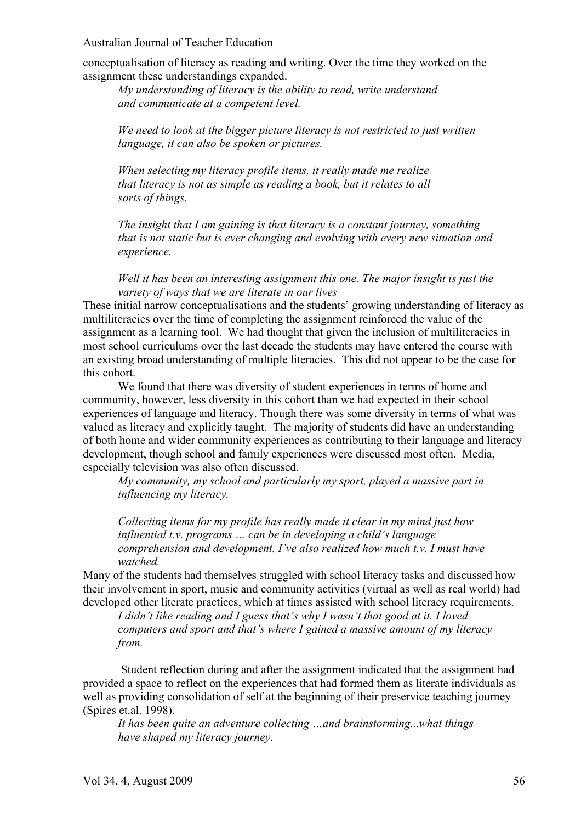conceptualisation of literacy as reading and writing. Over the time they worked on the assignment these understandings expanded.

*My understanding of literacy is the ability to read, write understand and communicate at a competent level.*

*We need to look at the bigger picture literacy is not restricted to just written language, it can also be spoken or pictures.*

*When selecting my literacy profile items, it really made me realize that literacy is not as simple as reading a book, but it relates to all sorts of things.*

*The insight that I am gaining is that literacy is a constant journey, something that is not static but is ever changing and evolving with every new situation and experience.*

*Well it has been an interesting assignment this one. The major insight is just the variety of ways that we are literate in our lives*

These initial narrow conceptualisations and the students' growing understanding of literacy as multiliteracies over the time of completing the assignment reinforced the value of the assignment as a learning tool. We had thought that given the inclusion of multiliteracies in most school curriculums over the last decade the students may have entered the course with an existing broad understanding of multiple literacies. This did not appear to be the case for this cohort.

We found that there was diversity of student experiences in terms of home and community, however, less diversity in this cohort than we had expected in their school experiences of language and literacy. Though there was some diversity in terms of what was valued as literacy and explicitly taught. The majority of students did have an understanding of both home and wider community experiences as contributing to their language and literacy development, though school and family experiences were discussed most often. Media, especially television was also often discussed.

*My community, my school and particularly my sport, played a massive part in influencing my literacy.*

*Collecting items for my profile has really made it clear in my mind just how influential t.v. programs … can be in developing a child's language comprehension and development. I've also realized how much t.v. I must have watched.*

Many of the students had themselves struggled with school literacy tasks and discussed how their involvement in sport, music and community activities (virtual as well as real world) had developed other literate practices, which at times assisted with school literacy requirements.

*I didn't like reading and I guess that's why I wasn't that good at it. I loved computers and sport and that's where I gained a massive amount of my literacy from.*

 Student reflection during and after the assignment indicated that the assignment had provided a space to reflect on the experiences that had formed them as literate individuals as well as providing consolidation of self at the beginning of their preservice teaching journey (Spires et.al. 1998).

*It has been quite an adventure collecting …and brainstorming...what things have shaped my literacy journey.*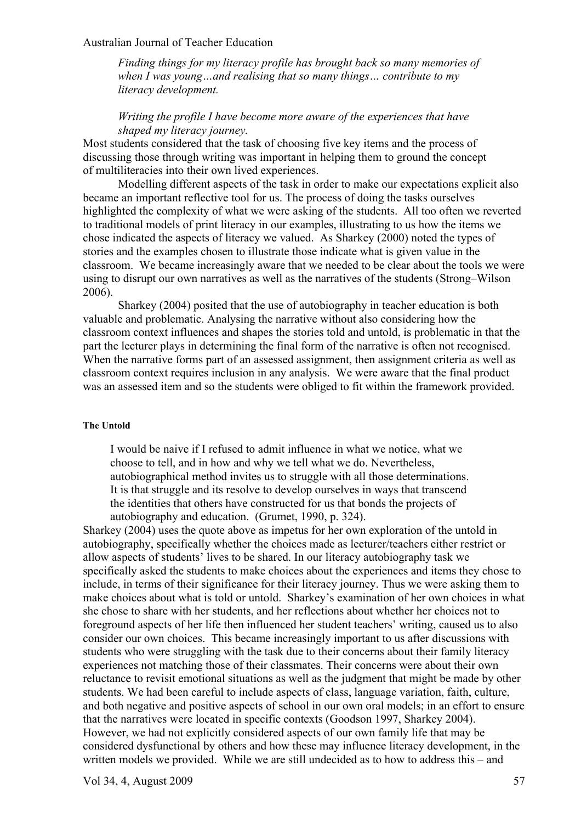*Finding things for my literacy profile has brought back so many memories of when I was young…and realising that so many things… contribute to my literacy development.*

*Writing the profile I have become more aware of the experiences that have shaped my literacy journey.*

Most students considered that the task of choosing five key items and the process of discussing those through writing was important in helping them to ground the concept of multiliteracies into their own lived experiences.

Modelling different aspects of the task in order to make our expectations explicit also became an important reflective tool for us. The process of doing the tasks ourselves highlighted the complexity of what we were asking of the students. All too often we reverted to traditional models of print literacy in our examples, illustrating to us how the items we chose indicated the aspects of literacy we valued. As Sharkey (2000) noted the types of stories and the examples chosen to illustrate those indicate what is given value in the classroom. We became increasingly aware that we needed to be clear about the tools we were using to disrupt our own narratives as well as the narratives of the students (Strong–Wilson 2006).

Sharkey (2004) posited that the use of autobiography in teacher education is both valuable and problematic. Analysing the narrative without also considering how the classroom context influences and shapes the stories told and untold, is problematic in that the part the lecturer plays in determining the final form of the narrative is often not recognised. When the narrative forms part of an assessed assignment, then assignment criteria as well as classroom context requires inclusion in any analysis. We were aware that the final product was an assessed item and so the students were obliged to fit within the framework provided.

#### **The Untold**

I would be naive if I refused to admit influence in what we notice, what we choose to tell, and in how and why we tell what we do. Nevertheless, autobiographical method invites us to struggle with all those determinations. It is that struggle and its resolve to develop ourselves in ways that transcend the identities that others have constructed for us that bonds the projects of autobiography and education. (Grumet, 1990, p. 324).

Sharkey (2004) uses the quote above as impetus for her own exploration of the untold in autobiography, specifically whether the choices made as lecturer/teachers either restrict or allow aspects of students' lives to be shared. In our literacy autobiography task we specifically asked the students to make choices about the experiences and items they chose to include, in terms of their significance for their literacy journey. Thus we were asking them to make choices about what is told or untold. Sharkey's examination of her own choices in what she chose to share with her students, and her reflections about whether her choices not to foreground aspects of her life then influenced her student teachers' writing, caused us to also consider our own choices. This became increasingly important to us after discussions with students who were struggling with the task due to their concerns about their family literacy experiences not matching those of their classmates. Their concerns were about their own reluctance to revisit emotional situations as well as the judgment that might be made by other students. We had been careful to include aspects of class, language variation, faith, culture, and both negative and positive aspects of school in our own oral models; in an effort to ensure that the narratives were located in specific contexts (Goodson 1997, Sharkey 2004). However, we had not explicitly considered aspects of our own family life that may be considered dysfunctional by others and how these may influence literacy development, in the written models we provided. While we are still undecided as to how to address this – and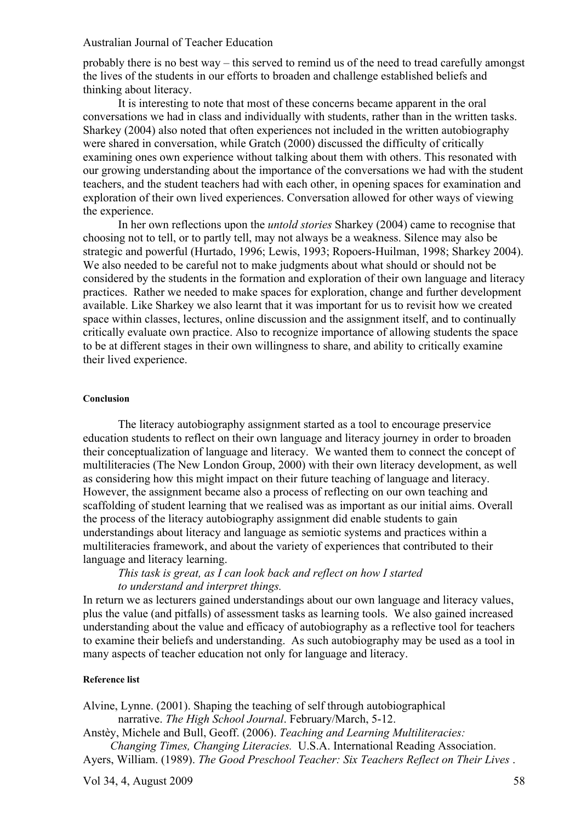probably there is no best way – this served to remind us of the need to tread carefully amongst the lives of the students in our efforts to broaden and challenge established beliefs and thinking about literacy.

It is interesting to note that most of these concerns became apparent in the oral conversations we had in class and individually with students, rather than in the written tasks. Sharkey (2004) also noted that often experiences not included in the written autobiography were shared in conversation, while Gratch (2000) discussed the difficulty of critically examining ones own experience without talking about them with others. This resonated with our growing understanding about the importance of the conversations we had with the student teachers, and the student teachers had with each other, in opening spaces for examination and exploration of their own lived experiences. Conversation allowed for other ways of viewing the experience.

In her own reflections upon the *untold stories* Sharkey (2004) came to recognise that choosing not to tell, or to partly tell, may not always be a weakness. Silence may also be strategic and powerful (Hurtado, 1996; Lewis, 1993; Ropoers-Huilman, 1998; Sharkey 2004). We also needed to be careful not to make judgments about what should or should not be considered by the students in the formation and exploration of their own language and literacy practices. Rather we needed to make spaces for exploration, change and further development available. Like Sharkey we also learnt that it was important for us to revisit how we created space within classes, lectures, online discussion and the assignment itself, and to continually critically evaluate own practice. Also to recognize importance of allowing students the space to be at different stages in their own willingness to share, and ability to critically examine their lived experience.

#### **Conclusion**

The literacy autobiography assignment started as a tool to encourage preservice education students to reflect on their own language and literacy journey in order to broaden their conceptualization of language and literacy. We wanted them to connect the concept of multiliteracies (The New London Group, 2000) with their own literacy development, as well as considering how this might impact on their future teaching of language and literacy. However, the assignment became also a process of reflecting on our own teaching and scaffolding of student learning that we realised was as important as our initial aims. Overall the process of the literacy autobiography assignment did enable students to gain understandings about literacy and language as semiotic systems and practices within a multiliteracies framework, and about the variety of experiences that contributed to their language and literacy learning.

#### *This task is great, as I can look back and reflect on how I started to understand and interpret things.*

In return we as lecturers gained understandings about our own language and literacy values, plus the value (and pitfalls) of assessment tasks as learning tools. We also gained increased understanding about the value and efficacy of autobiography as a reflective tool for teachers to examine their beliefs and understanding. As such autobiography may be used as a tool in many aspects of teacher education not only for language and literacy.

#### **Reference list**

Alvine, Lynne. (2001). Shaping the teaching of self through autobiographical narrative. *The High School Journal*. February/March, 5-12.

Anstèy, Michele and Bull, Geoff. (2006). *Teaching and Learning Multiliteracies:* 

*Changing Times, Changing Literacies.* U.S.A. International Reading Association.

Ayers, William. (1989). *The Good Preschool Teacher: Six Teachers Reflect on Their Lives* .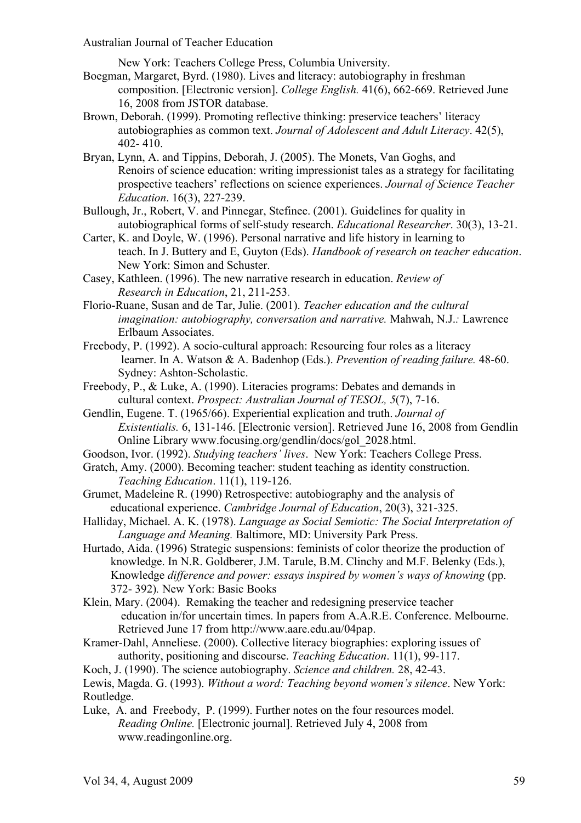New York: Teachers College Press, Columbia University.

- Boegman, Margaret, Byrd. (1980). Lives and literacy: autobiography in freshman composition. [Electronic version]. *College English.* 41(6), 662-669. Retrieved June 16, 2008 from JSTOR database.
- Brown, Deborah. (1999). Promoting reflective thinking: preservice teachers' literacy autobiographies as common text. *Journal of Adolescent and Adult Literacy*. 42(5), 402- 410.
- Bryan, Lynn, A. and Tippins, Deborah, J. (2005). The Monets, Van Goghs, and Renoirs of science education: writing impressionist tales as a strategy for facilitating prospective teachers' reflections on science experiences. *Journal of Science Teacher Education*. 16(3), 227-239.
- Bullough, Jr., Robert, V. and Pinnegar, Stefinee. (2001). Guidelines for quality in autobiographical forms of self-study research. *Educational Researcher*. 30(3), 13-21.
- Carter, K. and Doyle, W. (1996). Personal narrative and life history in learning to teach. In J. Buttery and E, Guyton (Eds). *Handbook of research on teacher education*. New York: Simon and Schuster.
- Casey, Kathleen. (1996). The new narrative research in education. *Review of Research in Education*, 21, 211-253.
- Florio-Ruane, Susan and de Tar, Julie. (2001). *Teacher education and the cultural imagination: autobiography, conversation and narrative.* Mahwah, N.J.*:* Lawrence Erlbaum Associates.
- Freebody, P. (1992). A socio-cultural approach: Resourcing four roles as a literacy learner. In A. Watson & A. Badenhop (Eds.). *Prevention of reading failure.* 48-60. Sydney: Ashton-Scholastic.
- Freebody, P., & Luke, A. (1990). Literacies programs: Debates and demands in cultural context. *Prospect: Australian Journal of TESOL, 5*(7), 7-16.
- Gendlin, Eugene. T. (1965/66). Experiential explication and truth. *Journal of Existentialis.* 6, 131-146. [Electronic version]. Retrieved June 16, 2008 from Gendlin Online Library www.focusing.org/gendlin/docs/gol\_2028.html.
- Goodson, Ivor. (1992). *Studying teachers' lives*. New York: Teachers College Press.
- Gratch, Amy. (2000). Becoming teacher: student teaching as identity construction. *Teaching Education*. 11(1), 119-126.
- Grumet, Madeleine R. (1990) Retrospective: autobiography and the analysis of educational experience. *Cambridge Journal of Education*, 20(3), 321-325.
- Halliday, Michael. A. K. (1978). *Language as Social Semiotic: The Social Interpretation of Language and Meaning.* Baltimore, MD: University Park Press.
- Hurtado, Aida. (1996) Strategic suspensions: feminists of color theorize the production of knowledge. In N.R. Goldberer, J.M. Tarule, B.M. Clinchy and M.F. Belenky (Eds.), Knowledge *difference and power: essays inspired by women's ways of knowing* (pp. 372- 392)*.* New York: Basic Books
- Klein, Mary. (2004). Remaking the teacher and redesigning preservice teacher education in/for uncertain times. In papers from A.A.R.E. Conference. Melbourne. Retrieved June 17 from http://www.aare.edu.au/04pap.
- Kramer-Dahl, Anneliese. (2000). Collective literacy biographies: exploring issues of authority, positioning and discourse. *Teaching Education*. 11(1), 99-117.
- Koch, J. (1990). The science autobiography. *Science and children.* 28, 42-43.

Lewis, Magda. G. (1993). *Without a word: Teaching beyond women's silence*. New York: Routledge.

Luke, A. and Freebody, P. (1999). Further notes on the four resources model. *Reading Online.* [Electronic journal]. Retrieved July 4, 2008 from www.readingonline.org.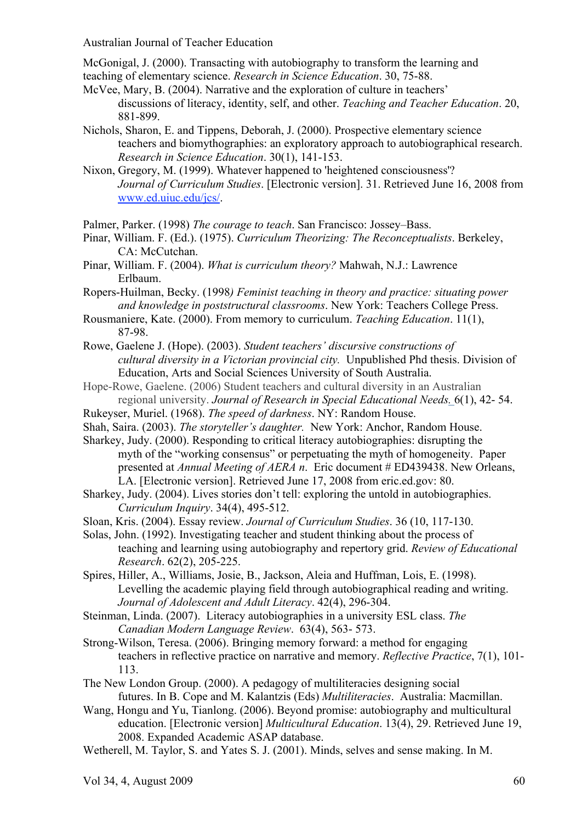McGonigal, J. (2000). Transacting with autobiography to transform the learning and

- teaching of elementary science. *Research in Science Education*. 30, 75-88.
- McVee, Mary, B. (2004). Narrative and the exploration of culture in teachers' discussions of literacy, identity, self, and other. *Teaching and Teacher Education*. 20, 881-899.
- Nichols, Sharon, E. and Tippens, Deborah, J. (2000). Prospective elementary science teachers and biomythographies: an exploratory approach to autobiographical research. *Research in Science Education*. 30(1), 141-153.
- Nixon, Gregory, M. (1999). Whatever happened to 'heightened consciousness'? *Journal of Curriculum Studies*. [Electronic version]. 31. Retrieved June 16, 2008 from www.ed.uiuc.edu/jcs/.
- Palmer, Parker. (1998) *The courage to teach*. San Francisco: Jossey–Bass.
- Pinar, William. F. (Ed.). (1975). *Curriculum Theorizing: The Reconceptualists*. Berkeley, CA: McCutchan.
- Pinar, William. F. (2004). *What is curriculum theory?* Mahwah, N.J.: Lawrence Erlbaum.
- Ropers-Huilman, Becky. (1998*) Feminist teaching in theory and practice: situating power and knowledge in poststructural classrooms*. New York: Teachers College Press.
- Rousmaniere, Kate. (2000). From memory to curriculum. *Teaching Education*. 11(1), 87-98.
- Rowe, Gaelene J. (Hope). (2003). *Student teachers' discursive constructions of cultural diversity in a Victorian provincial city.* Unpublished Phd thesis. Division of Education, Arts and Social Sciences University of South Australia.
- Hope-Rowe, Gaelene. (2006) Student teachers and cultural diversity in an Australian regional university. *Journal of Research in Special Educational Needs.* 6(1), 42- 54.
- Rukeyser, Muriel. (1968). *The speed of darkness*. NY: Random House.
- Shah, Saira. (2003). *The storyteller's daughter.* New York: Anchor, Random House.
- Sharkey, Judy. (2000). Responding to critical literacy autobiographies: disrupting the myth of the "working consensus" or perpetuating the myth of homogeneity. Paper presented at *Annual Meeting of AERA n*. Eric document # ED439438. New Orleans, LA. [Electronic version]. Retrieved June 17, 2008 from eric.ed.gov: 80.
- Sharkey, Judy. (2004). Lives stories don't tell: exploring the untold in autobiographies. *Curriculum Inquiry*. 34(4), 495-512.
- Sloan, Kris. (2004). Essay review. *Journal of Curriculum Studies*. 36 (10, 117-130.
- Solas, John. (1992). Investigating teacher and student thinking about the process of teaching and learning using autobiography and repertory grid. *Review of Educational Research*. 62(2), 205-225.
- Spires, Hiller, A., Williams, Josie, B., Jackson, Aleia and Huffman, Lois, E. (1998). Levelling the academic playing field through autobiographical reading and writing. *Journal of Adolescent and Adult Literacy*. 42(4), 296-304.
- Steinman, Linda. (2007). Literacy autobiographies in a university ESL class. *The Canadian Modern Language Review*. 63(4), 563- 573.
- Strong-Wilson, Teresa. (2006). Bringing memory forward: a method for engaging teachers in reflective practice on narrative and memory. *Reflective Practice*, 7(1), 101- 113.
- The New London Group. (2000). A pedagogy of multiliteracies designing social futures. In B. Cope and M. Kalantzis (Eds) *Multiliteracies*. Australia: Macmillan.
- Wang, Hongu and Yu, Tianlong. (2006). Beyond promise: autobiography and multicultural education. [Electronic version] *Multicultural Education*. 13(4), 29. Retrieved June 19, 2008. Expanded Academic ASAP database.
- Wetherell, M. Taylor, S. and Yates S. J. (2001). Minds, selves and sense making. In M.